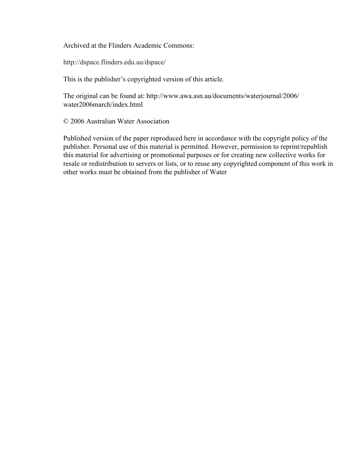Archived at the Flinders Academic Commons:

http://dspace.flinders.edu.au/dspace/

This is the publisher's copyrighted version of this article.

The original can be found at: http://www.awa.asn.au/documents/waterjournal/2006/ water2006march/index.html

© 2006 Australian Water Association

Published version of the paper reproduced here in accordance with the copyright policy of the publisher. Personal use of this material is permitted. However, permission to reprint/republish this material for advertising or promotional purposes or for creating new collective works for resale or redistribution to servers or lists, or to reuse any copyrighted component of this work in other works must be obtained from the publisher of Water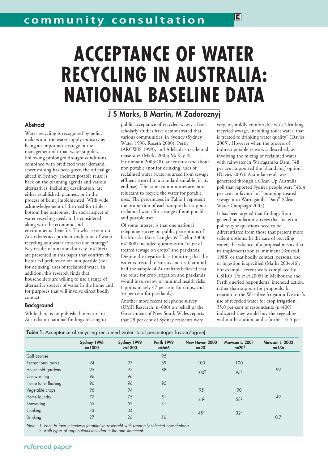# **ACCEPTANCE OF WATER RECYCLING IN AUSTRALIA: NATIONAL BASELINE DATA**

J S Marks, B Martin, M Zadoroznyj

# **Abstract**

Water recycling is recognised by policy makers and the water supply industry as being an important strategy in the management of urban water supplies. Following prolonged drought conditions, combined with predicted water demand, sewer mining has been given the official goahead in Sydney, indirect potable reuse is back on the planning agenda and various alternatives, including desalination, are either established, planned, or in the process of being implemented. With wide acknowledgement of the need for triple bottom line outcomes, the social aspect of water recycling needs to be considered along with the economic and environmental benefits. To what extent do Australians accept the introduction of water recycling as a water conservation strategy? Key results of a national survey (n=2504) are presented in this paper that confirm the historical preference for non potable (not for drinking) uses of reclaimed water. In addition, this research finds that householders are willing to use a range of alternative sources of water in the home and for purposes that will involve direct bodily contact.

While there is no published literature in Australia on national findings relating to public acceptance of recycled water, a few scholarly studies have demonstrated that various communities, in Sydney (Sydney Water 1996; Roseth 2000), Perth (ARCWIS 1999), and Adelaide's residential reuse sites (Marks 2003; McKay & Hurlimann 2003:48), are enthusiastic about non potable (not for drinking) uses of reclaimed water (water sourced from sewage effluent treated to a standard suitable for its end use). The same communities are more reluctant to recycle the water for potable uses. The percentages in Table 1 represent the proportion of each sample that support reclaimed water for a range of non potable and potable uses.

Of some interest is that one national telephone survey on public perceptions of health risks (Star, Langley & Taylor 2000; n=2008) included questions on "reuse of treated sewage on crops" and parklands. Despite the negative bias (omitting that the water is treated to suit its end use), around half the sample of Australians believed that the reuse for crop irrigation and parklands would involve low or minimal health risks (approximately 47 per cent for crops, and 53 per cent for parklands).

Another more recent telephone survey (UMR Research, n=600) on behalf of the Government of New South Wales reports that 29 per cent of Sydney residents were

very, or, mildly comfortable with "drinking recycled sewage, including toilet water, that is treated to drinking water quality" (Davies 2005). However when the process of indirect potable reuse was described, as involving the mixing of reclaimed water with rainwater in Warragamba Dam, "48 per cent supported the 'shandying' option" (Davies 2005). A similar result was generated through a Clean Up Australia poll that reported Sydney people were "46.4 per cent in favour" of "pumping treated sewage into Warragamba Dam" (Clean Water Campaign 2005).

國

It has been argued that findings from general population surveys that focus on policy-type questions need to be differentiated from those that present more salient options. In the case of recycling water, the salience of a proposal means that its implementation is imminent (Bruvold 1988) or that bodily contact, personal use or ingestion is specified (Marks 2004:46). For example, recent work completed by CSIRO (Po *et al* 2005) in Melbourne and Perth queried respondents' intended action, rather than support for proposals. In relation to the Werribee Irrigation District's use of recycled water for crop irrigation, 35.0 per cent of respondents (n=400) indicated they would buy the vegetables without hesitation, and a further 55.5 per

|  |  |  | Table 1. Acceptance of recycling reclaimed water (total percentages favour/agree) |  |
|--|--|--|-----------------------------------------------------------------------------------|--|

|                      | Sydney 1996<br>$n = 1000$ | Sydney 1999<br>$n = 1300$ | <b>Perth 1999</b><br>$n = 666$ | New Haven 2000<br>$n=201$ | <b>Mawson L. 2001</b><br>$n=201$ | <b>Mawson L. 2002</b><br>$n = 136$ |
|----------------------|---------------------------|---------------------------|--------------------------------|---------------------------|----------------------------------|------------------------------------|
| Golf courses         |                           |                           | 95                             |                           |                                  |                                    |
| Recreational parks   | 94                        | 97                        | 89                             | 100                       | 100                              |                                    |
| Household gardens    | 95                        | 97                        | 88                             | 1002                      | 952                              | 99                                 |
| Car washing          | 96                        | 96                        |                                |                           |                                  |                                    |
| Home toilet flushing | 96                        | 96                        | 95                             |                           |                                  |                                    |
| Vegetable crops      | 96                        | 94                        |                                | 95                        | 90                               |                                    |
| Home laundry         | 77                        | 75                        | 51                             | 502                       | 582                              | 49                                 |
| Showering            | 55                        | 52                        | 31                             |                           |                                  |                                    |
| Cooking              | 33                        | 34                        |                                | 45 <sup>2</sup>           | 32 <sup>2</sup>                  |                                    |
| Drinking             | 27                        | 26                        | 16                             |                           |                                  | 0.7                                |

Note: 1. Face to face interviews (qualitative research) with randomly selected householders. 2. Both types of applications included in the one statement.

**refereed paper**

Background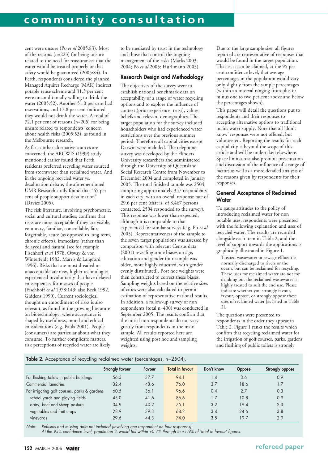cent were unsure (Po *et al* 2005:83). Most of the reasons (n=223) for being unsure related to the need for reassurances that the water would be treated properly or that safety would be guaranteed (2005:84). In Perth, respondents considered the planned Managed Aquifer Recharge (MAR) indirect potable reuse scheme and 31.3 per cent were unconditionally willing to drink the water (2005:52). Another 51.0 per cent had reservations, and 17.8 per cent indicated they would not drink the water. A total of 72.1 per cent of reasons (n=205) for being unsure related to respondents' concern about health risks (2005:53), as found in the Melbourne research.

As far as other alternative sources are concerned, the ARCWIS (1999) study mentioned earlier found that Perth residents preferred recycling water sourced from stormwater than reclaimed water. And in the ongoing recycled water vs. desalination debate, the aforementioned UMR Research study found that "65 per cent of people support desalination" (Davies 2005).

The risk literature, involving psychometric, social and cultural studies, confirms that risks are more acceptable if they are visible, voluntary, familiar, controllable, fair, forgettable, acute (as opposed to long term, chronic effects), immediate (rather than delayed) and natural (see for example Fischhoff *et al* 1978, Otway & von Winterfeldt 1982, Marris & Langford 1996). Risks that are most dreaded or unacceptable are new, higher technologies experienced involuntarily that have delayed consequences for masses of people (Fischhoff *et al* 1978:143; also Beck 1992, Giddens 1990). Current sociological thought on embodiment of risks is also relevant, as found in the growing literature on biotechnology, where acceptance is shaped by usefulness, moral and ethical considerations (e.g. Paula 2001). People (consumers) are particular about what they consume. To further complicate matters, risk perceptions of recycled water are likely

to be mediated by trust in the technology and those that control the ongoing management of the risks (Marks 2003, 2004; Po *et al* 2005; Hurlimann 2005).

# Research Design and Methodology

The objectives of the survey were to establish national benchmark data on acceptability of a range of water recycling options and to explore the influence of context (prior experience, trust), values, beliefs and relevant demographics. The target population for the survey included householders who had experienced water restrictions over the previous summer period. Therefore, all capital cities except Darwin were included. The telephone survey was developed by the Flinders University researchers and administered through the University of Queensland Social Research Centre from November to December 2004 and completed in January 2005. The total finished sample was 2504, comprising approximately 357 respondents in each city, with an overall response rate of 29.6 per cent (that is, of 8,467 persons contacted, 2504 responded to the survey). This response was lower than expected, although it is comparable to that experienced for similar surveys (e.g. Po *et al* 2005). Representativeness of the sample to the seven target populations was assessed by comparison with relevant Census data (2001) revealing some biases on age, education and gender (our sample was older, more highly educated, with gender evenly distributed). Post hoc weights were then constructed to correct these biases. Sampling weights based on the relative sizes of cities were also calculated to permit estimation of representative national results. In addition, a follow-up survey of non respondents (total n=400) was conducted in September 2005. The results confirm that the initial non respondents do not vary greatly from respondents in the main sample. All results reported here are weighted using post hoc and sampling weights.

Due to the large sample size, all figures reported are representative of responses that would be found in the target population. That is, it can be claimed, at the 95 per cent confidence level, that average percentages in the population would vary only slightly from the sample percentages (within an interval ranging from plus or minus one to two per cent above and below the percentages shown).

This paper will detail the questions put to respondents and their responses to accepting alternative options to traditional mains water supply. Note that all 'don't know' responses were not offered, but volunteered. Reporting the results for each capital city is beyond the scope of this article and will be undertaken elsewhere. Space limitations also prohibit presentation and discussion of the influence of a range of factors as well as a more detailed analysis of the reasons given by respondents for their responses.

# General Acceptance of Reclaimed **Water**

To gauge attitudes to the policy of introducing reclaimed water for non potable uses, respondents were presented with the following explanation and uses of recycled water. The results are recorded alongside each item in Table 2, and the level of support towards the applications is graphically illustrated in Figure 1.

Treated wastewater or sewage effluent is normally discharged to rivers or the ocean, but can be reclaimed for recycling. These uses for reclaimed water are not for drinking but the reclaimed wastewater is highly treated to suit the end use. Please indicate whether you strongly favour, favour, oppose, or strongly oppose these uses of reclaimed water [as listed in Table 2].

The questions were presented to respondents in the order they appear in Table 2. Figure 1 ranks the results which confirm that recycling reclaimed water for the irrigation of golf courses, parks, gardens and flushing of public toilets is strongly

### Table 2. Acceptance of recycling reclaimed water (percentages, n=2504).

|                                              | <b>Strongly favour</b> | Favour | <b>Total in favour</b> | Don't know | <b>Oppose</b> | Strongly oppose |
|----------------------------------------------|------------------------|--------|------------------------|------------|---------------|-----------------|
| For flushing toilets in public buildings     | 56.5                   | 37.7   | 94.1                   | 1.4        | 3.6           | 0.9             |
| Commercial laundries                         | 32.4                   | 43.6   | 76.0                   | 3.7        | 18.6          | 1.7             |
| For irrigating golf courses, parks & gardens | 60.5                   | 36.1   | 96.6                   | 0.4        | 2.7           | 0.3             |
| school yards and playing fields              | 45.0                   | 41.6   | 86.6                   | 1.7        | 10.8          | 0.9             |
| dairy, beef and sheep pasture                | 34.9                   | 40.2   | 75.1                   | 3.2        | 19.4          | 2.3             |
| vegetables and fruit crops                   | 28.9                   | 39.3   | 68.2                   | 3.4        | 24.6          | 3.8             |
| vineyards                                    | 29.6                   | 44.3   | 74.0                   | 3.5        | 19.7          | 2.9             |

Note: - Refusals and missing data not included (involving one respondent on four responses). - At the 95% confidence level, population % would fall within ±0.7% through to ±1.9% of 'total in favour' figures.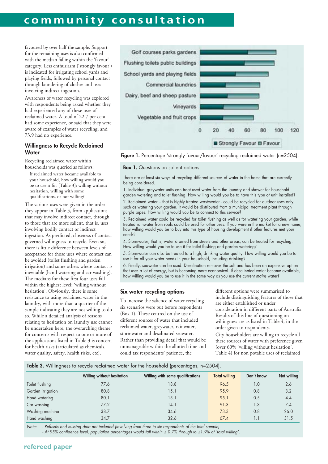# **community consultation**

favoured by over half the sample. Support for the remaining uses is also confirmed with the median falling within the 'favour' category. Less enthusiasm ('strongly favour') is indicated for irrigating school yards and playing fields, followed by personal contact through laundering of clothes and uses involving indirect ingestion.

Awareness of water recycling was explored with respondents being asked whether they had experienced any of these uses of reclaimed water. A total of 22.7 per cent had some experience, or said that they were aware of examples of water recycling, and 73.9 had no experience.

# Willingness to Recycle Reclaimed **Water**

Recycling reclaimed water within households was queried as follows:

If reclaimed water became available to your household, how willing would you be to use it for [Table 3]: willing without hesitation, willing with some qualifications, or not willing?

The various uses were given in the order they appear in Table 3, from applications that may involve indirect contact, through to those that are more salient, that is, uses involving bodily contact or indirect ingestion. As predicted, closeness of contact governed willingness to recycle. Even so, there is little difference between levels of acceptance for those uses where contact can be avoided (toilet flushing and garden irrigation) and some others where contact is inevitable (hand watering and car washing). The medians for these first four uses fall within the highest level: 'willing without hesitation'. Obviously, there is some resistance to using reclaimed water in the laundry, with more than a quarter of the sample indicating they are not willing to do so. While a detailed analysis of reasons relating to hesitation on laundry use cannot be undertaken here, the overarching theme for concerns with respect to one or more of the applications listed in Table 3 is concern for health risks (articulated as chemicals, water quality, safety, health risks, etc).





#### **Box 1.** Questions on salient options.

There are at least six ways of recycling different sources of water in the home that are currently being considered.

1. Individual greywater units can treat used water from the laundry and shower for household garden watering and toilet flushing. How willing would you be to have this type of unit installed? 2. Reclaimed water – that is highly treated wastewater - could be recycled for outdoor uses only, such as watering your garden. It would be distributed from a municipal treatment plant through purple pipes. How willing would you be to connect to this service?

3. Reclaimed water could be recycled for toilet flushing as well as for watering your garden, while treated rainwater from roofs could be used for other uses. If you were in the market for a new home, how willing would you be to buy into this type of housing development if other features met your needs?

4. Stormwater, that is, water drained from streets and other areas, can be treated for recycling. How willing would you be to use it for toilet flushing and garden watering?

5. Stormwater can also be treated to a high, drinking water quality. How willing would you be to use it for all your water needs in your household, including drinking?

6. Finally, seawater can be used. Desalination removes the salt and has been an expensive option that uses a lot of energy, but is becoming more economical. If desalinated water became available, how willing would you be to use it in the same way as you use the current mains water?

#### Six water recycling options

To increase the salience of water recycling six scenarios were put before respondents (Box 1). These centred on the use of different sources of water that included reclaimed water, greywater, rainwater, stormwater and desalinated seawater. Rather than providing detail that would be unmanageable within the allotted time and could tax respondents' patience, the

different options were summarised to include distinguishing features of those that are either established or under consideration in different parts of Australia. Results of this line of questioning on willingness are as listed in Table 4, in the order given to respondents.

City householders are willing to recycle all these sources of water with preference given (over 60% 'willing without hesitation', Table 4) for non potable uses of reclaimed

#### Table 3. Willingness to recycle reclaimed water for the household (percentages, n=2504).

|                   | Willing without hesitation | Willing with some qualifications | <b>Total willing</b> | Don't know | Not willing |
|-------------------|----------------------------|----------------------------------|----------------------|------------|-------------|
| Toilet flushing   | 77.6                       | 18.8                             | 96.5                 | 1.0        | 2.6         |
| Garden irrigation | 80.8                       | 15.1                             | 95.9                 | 0.8        | 3.2         |
| Hand watering     | 80.1                       | 15.1                             | 95.1                 | 0.5        | 4.4         |
| Car washing       | 77.2                       | 14.1                             | 91.3                 | 1.3        | 7.4         |
| Washing machine   | 38.7                       | 34.6                             | 73.3                 | 0.8        | 26.0        |
| Hand washing      | 34.7                       | 32.6                             | 67.4                 |            | 31.5        |
|                   |                            |                                  |                      |            |             |

Note: - Refusals and missing data not included (involving from three to six respondents of the total sample). - At 95% confidence level, population percentages would fall within ± 0.7% through to ±1.9% of 'total willing'.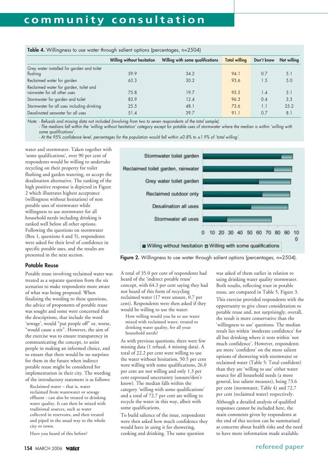| <b>Twist If</b> If I finite the second state. In oddit canonic spirone (porcomages) in Edgit |                            |                                  |                      |            |             |  |  |  |
|----------------------------------------------------------------------------------------------|----------------------------|----------------------------------|----------------------|------------|-------------|--|--|--|
|                                                                                              | Willing without hesitation | Willing with some qualifications | <b>Total willing</b> | Don't know | Not willing |  |  |  |
| Grey water installed for garden and toilet                                                   |                            |                                  |                      |            |             |  |  |  |
| flushing                                                                                     | 59.9                       | 34.2                             | 94.1                 | 0.7        | 5.1         |  |  |  |
| Reclaimed water for garden                                                                   | 63.3                       | 30.2                             | 93.6                 | 1.5        | 5.0         |  |  |  |
| Reclaimed water for garden, toilet and                                                       |                            |                                  |                      |            |             |  |  |  |
| rainwater for all other uses                                                                 | 75.8                       | 19.7                             | 95.5                 | 1.4        | 3.1         |  |  |  |
| Stormwater for garden and toilet                                                             | 83.9                       | 12.4                             | 96.3                 | 0.4        | 3.3         |  |  |  |
| Stormwater for all uses including drinking                                                   | 25.5                       | 48.1                             | 73.6                 | 1.1        | 25.2        |  |  |  |
| Desalinated seawater for all uses                                                            | 51.4                       | 39.7                             | 91.1                 | 0.7        | 8.1         |  |  |  |

**Table 4.** Willingness to use water through salient options (percentages,  $n=2504$ )

Note: - Refusals and missing data not included (involving from two to seven respondents of the total sample).

- The medians fall within the 'willing without hesitation' category except for potable uses of stormwater where the median is within 'willing with some qualifications'.

- At the 95% confidence level, percentages for the population would fall within ±0.8% to ±1.9% of 'total willing'.

water and stormwater. Taken together with 'some qualifications', over 90 per cent of respondents would be willing to undertake recycling on their property for toilet flushing and garden watering, or accept the desalination alternative. The ranking of the high positive response is depicted in Figure 2 which illustrates highest acceptance (willingness without hesitation) of non potable uses of stormwater while willingness to use stormwater for all household needs including drinking is ranked well below all other options. Following the questions on stormwater (Box 1, questions 4 and 5), respondents were asked for their level of confidence in specific potable uses, and the results are presented in the next section.

# Potable Reuse

Potable reuse involving reclaimed water was treated as a separate question from the six scenarios to make respondents more aware of what was being proposed. When finalising the wording to these questions, the advice of proponents of potable reuse was sought and some were concerned that the descriptions, that include the word 'sewage', would "put people off" or, worse, "would cause a stir". However, the aim of the exercise was to ensure transparency in communicating the concept, to assist people in making an informed choice, and to ensure that there would be no surprises for them in the future when indirect potable reuse might be considered for implementation in their city. The wording of the introductory statement is as follows:

Reclaimed water – that is, water reclaimed from wastewater or sewage effluent - can also be treated to drinking water quality. It can then be mixed with traditional sources, such as water collected in reservoirs, and then treated and piped in the usual way to the whole city or town.

Have you heard of this before?



Figure 2. Willingness to use water through salient options (percentages, n=2504).

A total of 35.0 per cent of respondents had heard of the 'indirect potable reuse' concept, with 64.3 per cent saying they had not heard of this form of recycling reclaimed water (17 were unsure, 0.7 per cent). Respondents were then asked if they would be willing to use the water:

How willing would you be to use water mixed with reclaimed water, treated to drinking water quality, for all your household needs?

As with previous questions, there were few missing data (1 refusal, 4 missing data). A total of 22.2 per cent were willing to use the water without hesitation, 50.5 per cent were willing with some qualifications, 26.0 per cent are not willing and only 1.3 per cent expressed uncertainty (unsure/don't know). The median falls within the category 'willing with some qualifications' and a total of 72.7 per cent are willing to recycle the water in this way, albeit with some qualifications.

To build salience of the issue, respondents were then asked how much confidence they would have in using it for showering, cooking and drinking. The same question

was asked of them earlier in relation to using drinking water quality stormwater. Both results, reflecting trust in potable reuse, are compared in Table 5, Figure 3. This exercise provided respondents with the opportunity to give closer consideration to potable reuse and, not surprisingly, overall, the result is more conservative than the 'willingness to use' questions. The median result lies within 'moderate confidence' for all but drinking where it rests within 'not much confidence'. However, respondents are more 'confident' on the more salient options of showering with stormwater or reclaimed water (Table 5: Total confident) than they are 'willing to use' either water source for all household needs (a more general, less salient measure), being 73.6 per cent (stormwater, Table 4) and 72.7 per cent (reclaimed water) respectively. Although a detailed analysis of qualified responses cannot be included here, the main comments given by respondents at the end of this section can be summarised as concerns about health risks and the need to have more information made available.

# **refereed paper**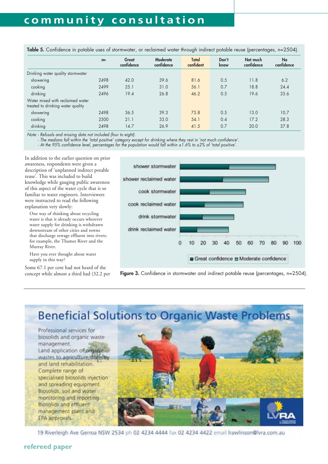|                                                                       | $n=$ | Great<br>confidence | Moderate<br>confidence | Total<br>confident | Don't<br>know | Not much<br>confidence | No<br>confidence |
|-----------------------------------------------------------------------|------|---------------------|------------------------|--------------------|---------------|------------------------|------------------|
| Drinking water quality stormwater                                     |      |                     |                        |                    |               |                        |                  |
| showering                                                             | 2498 | 42.0                | 39.6                   | 81.6               | 0.5           | 11.8                   | 6.2              |
| cooking                                                               | 2499 | 25.1                | 31.0                   | 56.1               | 0.7           | 18.8                   | 24.4             |
| drinking                                                              | 2496 | 19.4                | 26.8                   | 46.2               | 0.5           | 19.6                   | 33.6             |
| Water mixed with reclaimed water<br>treated to drinking water quality |      |                     |                        |                    |               |                        |                  |
| showering                                                             | 2498 | 36.5                | 39.3                   | 75.8               | 0.5           | 13.0                   | 10.7             |
| cooking                                                               | 2500 | 21.1                | 33.0                   | 54.1               | 0.4           | 17.2                   | 28.3             |
| drinking                                                              | 2498 | 14.7                | 26.9                   | 41.5               | 0.7           | 20.0                   | 37.8             |

Table 5. Confidence in potable uses of stormwater, or reclaimed water through indirect potable reuse (percentages, n=2504).

Note: - Refusals and missing data not included (four to eight).

- The medians fall within the 'total positive' category except for drinking where they rest in 'not much confidence'.

- At the 95% confidence level, percentages for the population would fall within ±1.6% to ±2% of 'total positive'.

In addition to the earlier question on prior awareness, respondents were given a description of 'unplanned indirect potable reuse'. This was included to build knowledge while gauging public awareness of this aspect of the water cycle that is so familiar to water engineers. Interviewers were instructed to read the following explanation very slowly:

One way of thinking about recycling water is that it already occurs wherever water supply for drinking is withdrawn downstream of other cities and towns that discharge sewage effluent into rivers; for example, the Thames River and the Murray River.

Have you ever thought about water supply in this way?

Some 67.1 per cent had not heard of the concept while almost a third had (32.2 per



Figure 3. Confidence in stormwater and indirect potable reuse (percentages, n=2504).

# **Beneficial Solutions to Organic Waste Problems**

Professional services for biosolids and organic waste management. Land application of organic wastes to agriculture, forestry and land rehabilitation. Complete range of specialised biosolids injection and spreading equipment. Biosolids, soil and water monitoring and reporting Biosolids and effluent management plans and EPA approvals.



19 Riverleigh Ave Gerroa NSW 2534 ph 02 4234 4444 fax 02 4234 4422 email Irawlinson@lvra.com.au

# **refereed paper**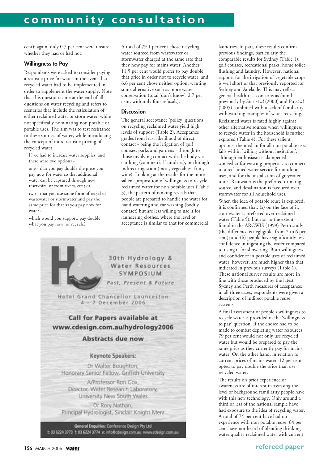cent); again, only 0.7 per cent were unsure whether they had or had not.

## Willingness to Pay

Respondents were asked to consider paying a realistic price for water in the event that recycled water had to be implemented in order to supplement the water supply. Note that this question came at the end of all questions on water recycling and refers to scenarios that include the reticulation of either reclaimed water or stormwater, while not specifically nominating non potable or potable uses. The aim was to test resistance to these sources of water, while introducing the concept of more realistic pricing of recycled water.

If we had to increase water supplies, and there were two options -

one - that you pay double the price you pay now for water so that additional water can be captured through new reservoirs, or from rivers, etc.; or,

two - that you use some form of recycled wastewater or stormwater and pay the same price for that as you pay now for water -

which would you support: pay double what you pay now, or recycle?

A total of 79.1 per cent chose recycling water sourced from wastewater or stormwater charged at the same rate that they now pay for mains water. Another 11.5 per cent would prefer to pay double that price in order not to recycle water, and 6.6 per cent chose neither option, wanting some alternative such as more water conservation (total 'don't know': 2.7 per cent, with only four refusals).

### **Discussion**

The general acceptance 'policy' questions on recycling reclaimed water yield high levels of support (Table 2). Acceptance grades from least likelihood of direct contact - being the irrigation of golf courses, parks and gardens - through to those involving contact with the body via clothing (commercial laundries), or through indirect ingestion (meat, vegetables, fruit, wine). Looking at the results for the more salient proposition of willingness to recycle reclaimed water for non potable uses (Table 3), the pattern of ranking reveals that people are prepared to handle the water for hand watering and car washing (bodily contact) but are less willing to use it for laundering clothes, where the level of acceptance is similar to that for commercial



laundries. In part, these results confirm previous findings, particularly the comparable results for Sydney (Table 1): golf courses, recreational parks, home toilet flushing and laundry. However, national support for the irrigation of vegetable crops is well short of that previously reported for Sydney and Adelaide. This may reflect general health risk concerns as found previously by Star *et al* (2000) and Po *et al* (2005) combined with a lack of familiarity with working examples of water recycling.

Reclaimed water is rated highly against other alternative sources when willingness to recycle water in the household is further explored (Table 4). For these salient options, the median for all non potable uses falls within 'willing without hesitation', although enthusiasm is dampened somewhat for existing properties to connect to a reclaimed water service for outdoor uses, and for the installation of greywater units. Rainwater is the preferred drinking source, and desalination is favoured over stormwater for all household uses.

When the idea of potable reuse is explored, it is confirmed that: (a) on the face of it, stormwater is preferred over reclaimed water (Table 5), but not to the extent found in the ARCWIS (1999) Perth study (the difference is negligible: from 2 to 6 per cent); and (b) people have significantly less confidence in ingesting the water compared to using it for showering. Both willingness and confidence in potable uses of reclaimed water, however, are much higher than that indicated in previous surveys (Table 1). These national survey results are more in line with those produced by the latest Sydney and Perth measures of acceptance: in all three cases, respondents were given a description of indirect potable reuse systems.

A final assessment of people's willingness to recycle water is provided in the 'willingness to pay' question. If the choice had to be made to combat depleting water resources, 79 per cent would not only use recycled water but would be prepared to pay the same price as they currently pay for mains water. On the other hand, in relation to current prices of mains water, 12 per cent opted to pay double the price than use recycled water.

The results on prior experience or awareness are of interest in assessing the level of background familiarity people have with this new technology. Only around a third or less of the national sample have had exposure to the idea of recycling water. A total of 74 per cent have had no experience with non potable reuse, 64 per cent have not heard of blending drinking water quality reclaimed water with current

### 156 MARCH 2006 Water

# **refereed paper**